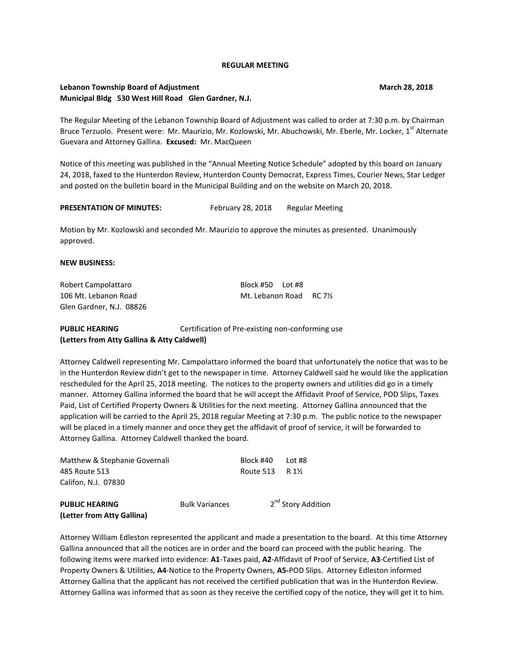#### **REGULAR MEETING**

## **Lebanon Township Board of Adjustment March 28, 2018** March 28, 2018 **Municipal Bldg 530 West Hill Road Glen Gardner, N.J.**

The Regular Meeting of the Lebanon Township Board of Adjustment was called to order at 7:30 p.m. by Chairman Bruce Terzuolo. Present were: Mr. Maurizio, Mr. Kozlowski, Mr. Abuchowski, Mr. Eberle, Mr. Locker, 1<sup>st</sup> Alternate Guevara and Attorney Gallina. **Excused:** Mr. MacQueen

Notice of this meeting was published in the "Annual Meeting Notice Schedule" adopted by this board on January 24, 2018, faxed to the Hunterdon Review, Hunterdon County Democrat, Express Times, Courier News, Star Ledger and posted on the bulletin board in the Municipal Building and on the website on March 20, 2018.

## **PRESENTATION OF MINUTES:** February 28, 2018 Regular Meeting

Motion by Mr. Kozlowski and seconded Mr. Maurizio to approve the minutes as presented. Unanimously approved.

#### **NEW BUSINESS:**

Robert Campolattaro Block #50 Lot #8 106 Mt. Lebanon Road Mt. Lebanon Road RC 7½ Glen Gardner, N.J. 08826

**PUBLIC HEARING Certification of Pre-existing non-conforming use (Letters from Atty Gallina & Atty Caldwell)**

Attorney Caldwell representing Mr. Campolattaro informed the board that unfortunately the notice that was to be in the Hunterdon Review didn't get to the newspaper in time. Attorney Caldwell said he would like the application rescheduled for the April 25, 2018 meeting. The notices to the property owners and utilities did go in a timely manner. Attorney Gallina informed the board that he will accept the Affidavit Proof of Service, POD Slips, Taxes Paid, List of Certified Property Owners & Utilities for the next meeting. Attorney Gallina announced that the application will be carried to the April 25, 2018 regular Meeting at 7:30 p.m. The public notice to the newspaper will be placed in a timely manner and once they get the affidavit of proof of service, it will be forwarded to Attorney Gallina. Attorney Caldwell thanked the board.

| Matthew & Stephanie Governali |                       | Block #40        | Lot #8                         |
|-------------------------------|-----------------------|------------------|--------------------------------|
| 485 Route 513                 |                       | Route 513 R 11/2 |                                |
| Califon, N.J. 07830           |                       |                  |                                |
| <b>PUBLIC HEARING</b>         | <b>Bulk Variances</b> |                  | 2 <sup>nd</sup> Story Addition |
| (Letter from Atty Gallina)    |                       |                  |                                |

Attorney William Edleston represented the applicant and made a presentation to the board. At this time Attorney Gallina announced that all the notices are in order and the board can proceed with the public hearing. The following items were marked into evidence: **A1**-Taxes paid, **A2**-Affidavit of Proof of Service, **A3**-Certified List of Property Owners & Utilities, **A4**-Notice to the Property Owners, **A5-**POD Slips. Attorney Edleston informed Attorney Gallina that the applicant has not received the certified publication that was in the Hunterdon Review. Attorney Gallina was informed that as soon as they receive the certified copy of the notice, they will get it to him.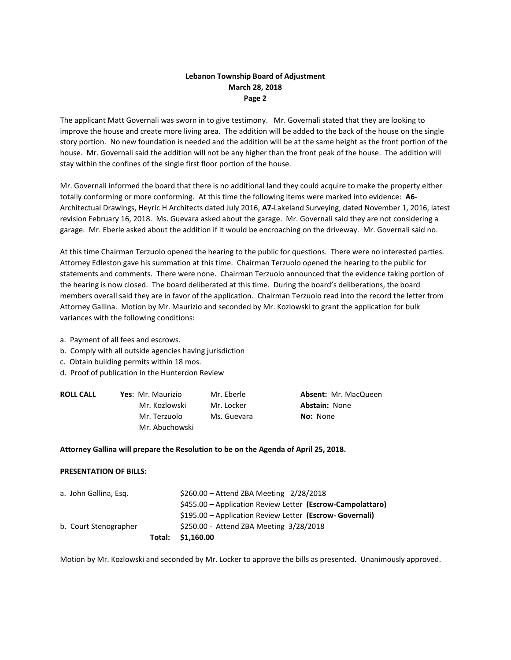# **Lebanon Township Board of Adjustment March 28, 2018 Page 2**

The applicant Matt Governali was sworn in to give testimony. Mr. Governali stated that they are looking to improve the house and create more living area. The addition will be added to the back of the house on the single story portion. No new foundation is needed and the addition will be at the same height as the front portion of the house. Mr. Governali said the addition will not be any higher than the front peak of the house. The addition will stay within the confines of the single first floor portion of the house.

Mr. Governali informed the board that there is no additional land they could acquire to make the property either totally conforming or more conforming. At this time the following items were marked into evidence: **A6-** Architectual Drawings, Heyric H Architects dated July 2016, **A7-**Lakeland Surveying, dated November 1, 2016, latest revision February 16, 2018. Ms. Guevara asked about the garage. Mr. Governali said they are not considering a garage. Mr. Eberle asked about the addition if it would be encroaching on the driveway. Mr. Governali said no.

At this time Chairman Terzuolo opened the hearing to the public for questions. There were no interested parties. Attorney Edleston gave his summation at this time. Chairman Terzuolo opened the hearing to the public for statements and comments. There were none. Chairman Terzuolo announced that the evidence taking portion of the hearing is now closed. The board deliberated at this time. During the board's deliberations, the board members overall said they are in favor of the application. Chairman Terzuolo read into the record the letter from Attorney Gallina. Motion by Mr. Maurizio and seconded by Mr. Kozlowski to grant the application for bulk variances with the following conditions:

- a. Payment of all fees and escrows.
- b. Comply with all outside agencies having jurisdiction
- c. Obtain building permits within 18 mos.
- d. Proof of publication in the Hunterdon Review

| <b>ROLL CALL</b> | Yes: Mr. Maurizio | Mr. Eberle  | <b>Absent: Mr. MacQueen</b> |  |
|------------------|-------------------|-------------|-----------------------------|--|
|                  | Mr. Kozlowski     | Mr. Locker  | <b>Abstain: None</b>        |  |
|                  | Mr. Terzuolo      | Ms. Guevara | <b>No:</b> None             |  |
|                  | Mr. Abuchowski    |             |                             |  |
|                  |                   |             |                             |  |

### **Attorney Gallina will prepare the Resolution to be on the Agenda of April 25, 2018.**

### **PRESENTATION OF BILLS:**

|                       | Total: \$1,160.00                                          |
|-----------------------|------------------------------------------------------------|
| b. Court Stenographer | \$250.00 - Attend ZBA Meeting 3/28/2018                    |
|                       | \$195.00 – Application Review Letter (Escrow- Governali)   |
|                       | \$455.00 – Application Review Letter (Escrow-Campolattaro) |
| a. John Gallina, Esg. | $$260.00 -$ Attend ZBA Meeting $2/28/2018$                 |

Motion by Mr. Kozlowski and seconded by Mr. Locker to approve the bills as presented. Unanimously approved.